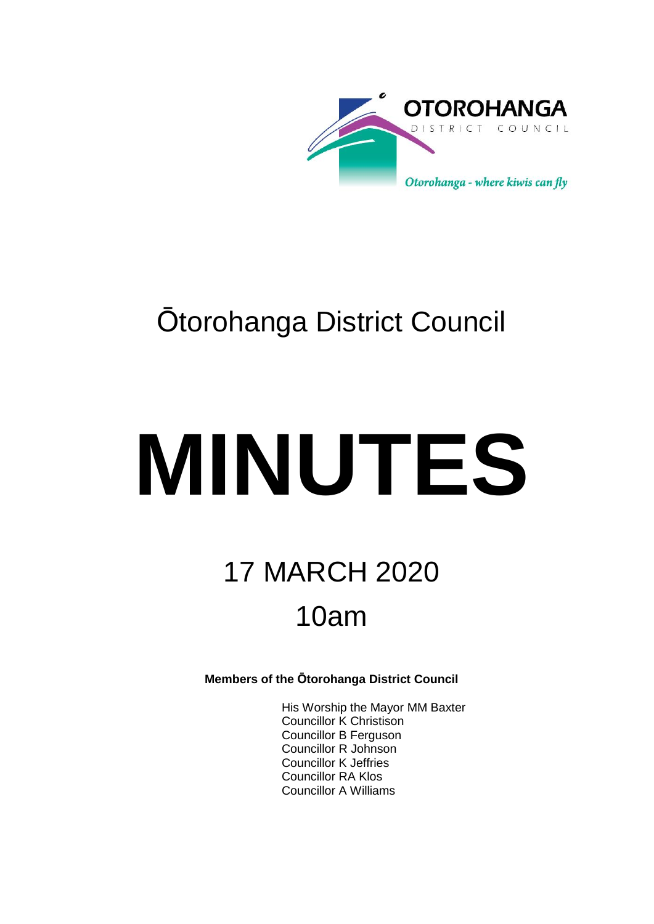

## Ōtorohanga District Council

# **MINUTES**

# 17 MARCH 2020 10am

**Members of the Ōtorohanga District Council**

His Worship the Mayor MM Baxter Councillor K Christison Councillor B Ferguson Councillor R Johnson Councillor K Jeffries Councillor RA Klos Councillor A Williams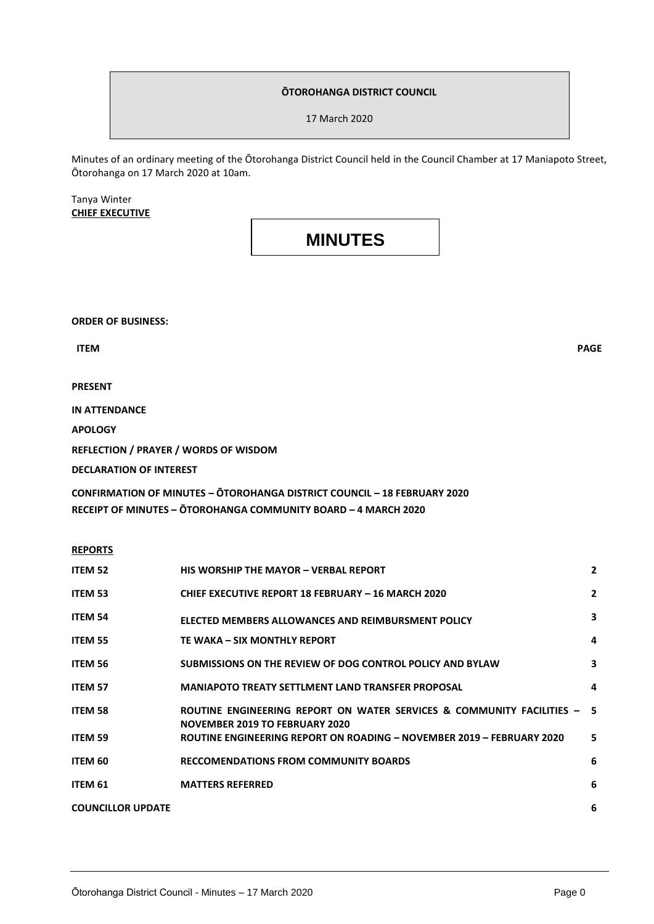#### **ŌTOROHANGA DISTRICT COUNCIL**

17 March 2020

Minutes of an ordinary meeting of the Ōtorohanga District Council held in the Council Chamber at 17 Maniapoto Street, Ōtorohanga on 17 March 2020 at 10am.

Tanya Winter **CHIEF EXECUTIVE**

## **MINUTES**

**ORDER OF BUSINESS:**

**PRESENT**

**IN ATTENDANCE**

**APOLOGY**

**REFLECTION / PRAYER / WORDS OF WISDOM** 

**DECLARATION OF INTEREST**

**CONFIRMATION OF MINUTES – ŌTOROHANGA DISTRICT COUNCIL – 18 FEBRUARY 2020 RECEIPT OF MINUTES – ŌTOROHANGA COMMUNITY BOARD – 4 MARCH 2020**

| r.<br>NE<br>ı | ⌒<br>'n<br>п<br>R.<br>,,<br>c<br>. . |  |
|---------------|--------------------------------------|--|
|               |                                      |  |

| <b>ITEM 52</b>           | <b>HIS WORSHIP THE MAYOR - VERBAL REPORT</b>                                                                     | $\mathbf{2}$            |
|--------------------------|------------------------------------------------------------------------------------------------------------------|-------------------------|
| <b>ITEM 53</b>           | <b>CHIEF EXECUTIVE REPORT 18 FEBRUARY - 16 MARCH 2020</b>                                                        | $\overline{2}$          |
| <b>ITEM 54</b>           | ELECTED MEMBERS ALLOWANCES AND REIMBURSMENT POLICY                                                               | 3                       |
| <b>ITEM 55</b>           | TE WAKA – SIX MONTHLY REPORT                                                                                     | 4                       |
| <b>ITEM 56</b>           | SUBMISSIONS ON THE REVIEW OF DOG CONTROL POLICY AND BYLAW                                                        | $\overline{\mathbf{3}}$ |
| <b>ITEM 57</b>           | <b>MANIAPOTO TREATY SETTLMENT LAND TRANSFER PROPOSAL</b>                                                         | 4                       |
| <b>ITEM 58</b>           | ROUTINE ENGINEERING REPORT ON WATER SERVICES & COMMUNITY FACILITIES - 5<br><b>NOVEMBER 2019 TO FEBRUARY 2020</b> |                         |
| <b>ITEM 59</b>           | ROUTINE ENGINEERING REPORT ON ROADING - NOVEMBER 2019 - FEBRUARY 2020                                            | 5                       |
| ITEM 60                  | <b>RECCOMENDATIONS FROM COMMUNITY BOARDS</b>                                                                     | 6                       |
| ITEM 61                  | <b>MATTERS REFERRED</b>                                                                                          | 6                       |
| <b>COUNCILLOR UPDATE</b> |                                                                                                                  | 6                       |

 **ITEM** PAGE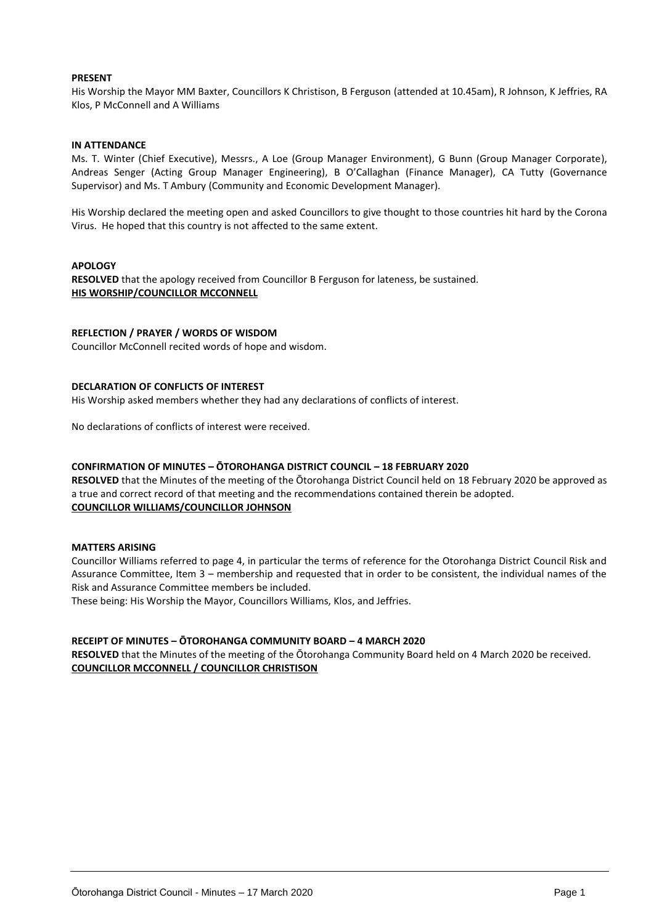#### **PRESENT**

His Worship the Mayor MM Baxter, Councillors K Christison, B Ferguson (attended at 10.45am), R Johnson, K Jeffries, RA Klos, P McConnell and A Williams

#### **IN ATTENDANCE**

Ms. T. Winter (Chief Executive), Messrs., A Loe (Group Manager Environment), G Bunn (Group Manager Corporate), Andreas Senger (Acting Group Manager Engineering), B O'Callaghan (Finance Manager), CA Tutty (Governance Supervisor) and Ms. T Ambury (Community and Economic Development Manager).

His Worship declared the meeting open and asked Councillors to give thought to those countries hit hard by the Corona Virus. He hoped that this country is not affected to the same extent.

#### **APOLOGY**

**RESOLVED** that the apology received from Councillor B Ferguson for lateness, be sustained. **HIS WORSHIP/COUNCILLOR MCCONNELL**

#### **REFLECTION / PRAYER / WORDS OF WISDOM**

Councillor McConnell recited words of hope and wisdom.

#### **DECLARATION OF CONFLICTS OF INTEREST**

His Worship asked members whether they had any declarations of conflicts of interest.

No declarations of conflicts of interest were received.

#### **CONFIRMATION OF MINUTES – ŌTOROHANGA DISTRICT COUNCIL – 18 FEBRUARY 2020**

**RESOLVED** that the Minutes of the meeting of the Ōtorohanga District Council held on 18 February 2020 be approved as a true and correct record of that meeting and the recommendations contained therein be adopted. **COUNCILLOR WILLIAMS/COUNCILLOR JOHNSON**

#### **MATTERS ARISING**

Councillor Williams referred to page 4, in particular the terms of reference for the Otorohanga District Council Risk and Assurance Committee, Item 3 – membership and requested that in order to be consistent, the individual names of the Risk and Assurance Committee members be included.

These being: His Worship the Mayor, Councillors Williams, Klos, and Jeffries.

#### **RECEIPT OF MINUTES – ŌTOROHANGA COMMUNITY BOARD – 4 MARCH 2020**

**RESOLVED** that the Minutes of the meeting of the Ōtorohanga Community Board held on 4 March 2020 be received. **COUNCILLOR MCCONNELL / COUNCILLOR CHRISTISON**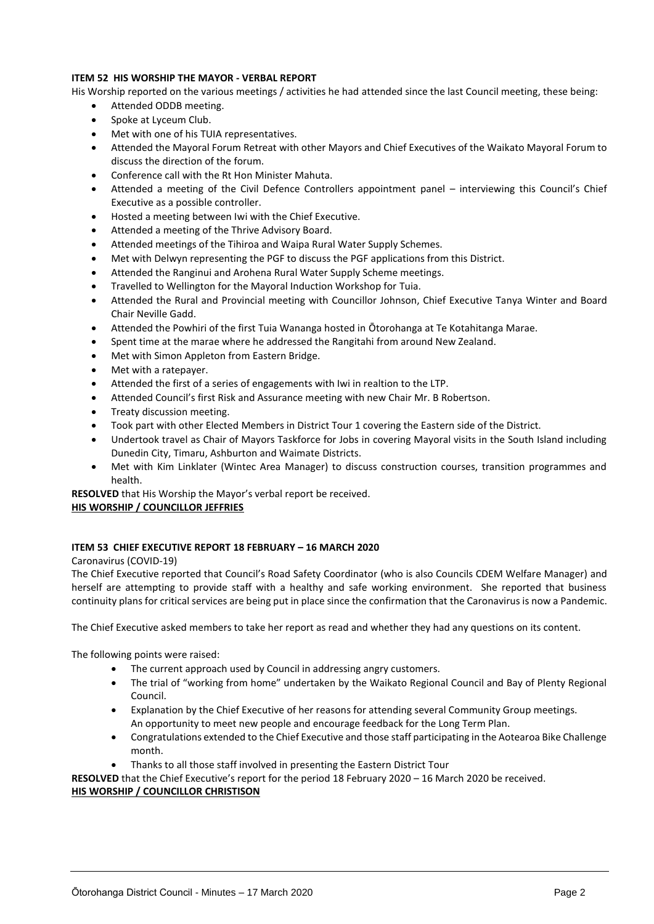#### **ITEM 52 HIS WORSHIP THE MAYOR - VERBAL REPORT**

His Worship reported on the various meetings / activities he had attended since the last Council meeting, these being:

- Attended ODDB meeting.
- Spoke at Lyceum Club.
- Met with one of his TUIA representatives.
- Attended the Mayoral Forum Retreat with other Mayors and Chief Executives of the Waikato Mayoral Forum to discuss the direction of the forum.
- Conference call with the Rt Hon Minister Mahuta.
- Attended a meeting of the Civil Defence Controllers appointment panel interviewing this Council's Chief Executive as a possible controller.
- Hosted a meeting between Iwi with the Chief Executive.
- Attended a meeting of the Thrive Advisory Board.
- Attended meetings of the Tihiroa and Waipa Rural Water Supply Schemes.
- Met with Delwyn representing the PGF to discuss the PGF applications from this District.
- Attended the Ranginui and Arohena Rural Water Supply Scheme meetings.
- Travelled to Wellington for the Mayoral Induction Workshop for Tuia.
- Attended the Rural and Provincial meeting with Councillor Johnson, Chief Executive Tanya Winter and Board Chair Neville Gadd.
- Attended the Powhiri of the first Tuia Wananga hosted in Ōtorohanga at Te Kotahitanga Marae.
- Spent time at the marae where he addressed the Rangitahi from around New Zealand.
- Met with Simon Appleton from Eastern Bridge.
- Met with a ratepayer.
- Attended the first of a series of engagements with Iwi in realtion to the LTP.
- Attended Council's first Risk and Assurance meeting with new Chair Mr. B Robertson.
- Treaty discussion meeting.
- Took part with other Elected Members in District Tour 1 covering the Eastern side of the District.
- Undertook travel as Chair of Mayors Taskforce for Jobs in covering Mayoral visits in the South Island including Dunedin City, Timaru, Ashburton and Waimate Districts.
- Met with Kim Linklater (Wintec Area Manager) to discuss construction courses, transition programmes and health.

**RESOLVED** that His Worship the Mayor's verbal report be received.

#### **HIS WORSHIP / COUNCILLOR JEFFRIES**

#### **ITEM 53 CHIEF EXECUTIVE REPORT 18 FEBRUARY – 16 MARCH 2020**

Caronavirus (COVID-19)

The Chief Executive reported that Council's Road Safety Coordinator (who is also Councils CDEM Welfare Manager) and herself are attempting to provide staff with a healthy and safe working environment. She reported that business continuity plans for critical services are being put in place since the confirmation that the Caronavirus is now a Pandemic.

The Chief Executive asked members to take her report as read and whether they had any questions on its content.

The following points were raised:

- The current approach used by Council in addressing angry customers.
- The trial of "working from home" undertaken by the Waikato Regional Council and Bay of Plenty Regional Council.
- Explanation by the Chief Executive of her reasons for attending several Community Group meetings. An opportunity to meet new people and encourage feedback for the Long Term Plan.
- Congratulations extended to the Chief Executive and those staff participating in the Aotearoa Bike Challenge month.
- Thanks to all those staff involved in presenting the Eastern District Tour

**RESOLVED** that the Chief Executive's report for the period 18 February 2020 – 16 March 2020 be received. **HIS WORSHIP / COUNCILLOR CHRISTISON**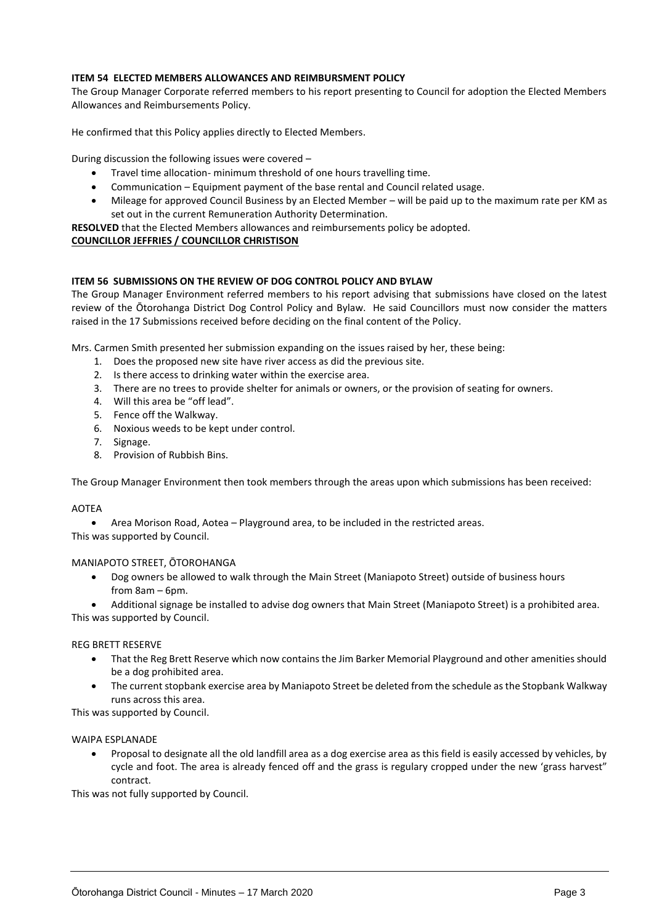#### **ITEM 54 ELECTED MEMBERS ALLOWANCES AND REIMBURSMENT POLICY**

The Group Manager Corporate referred members to his report presenting to Council for adoption the Elected Members Allowances and Reimbursements Policy.

He confirmed that this Policy applies directly to Elected Members.

During discussion the following issues were covered –

- Travel time allocation- minimum threshold of one hours travelling time.
- Communication Equipment payment of the base rental and Council related usage.
- Mileage for approved Council Business by an Elected Member will be paid up to the maximum rate per KM as set out in the current Remuneration Authority Determination.

**RESOLVED** that the Elected Members allowances and reimbursements policy be adopted.

#### **COUNCILLOR JEFFRIES / COUNCILLOR CHRISTISON**

#### **ITEM 56 SUBMISSIONS ON THE REVIEW OF DOG CONTROL POLICY AND BYLAW**

The Group Manager Environment referred members to his report advising that submissions have closed on the latest review of the Ōtorohanga District Dog Control Policy and Bylaw. He said Councillors must now consider the matters raised in the 17 Submissions received before deciding on the final content of the Policy.

Mrs. Carmen Smith presented her submission expanding on the issues raised by her, these being:

- 1. Does the proposed new site have river access as did the previous site.
- 2. Is there access to drinking water within the exercise area.
- 3. There are no trees to provide shelter for animals or owners, or the provision of seating for owners.
- 4. Will this area be "off lead".
- 5. Fence off the Walkway.
- 6. Noxious weeds to be kept under control.
- 7. Signage.
- 8. Provision of Rubbish Bins.

The Group Manager Environment then took members through the areas upon which submissions has been received:

#### AOTEA

Area Morison Road, Aotea – Playground area, to be included in the restricted areas.

This was supported by Council.

#### MANIAPOTO STREET, ŌTOROHANGA

 Dog owners be allowed to walk through the Main Street (Maniapoto Street) outside of business hours from 8am – 6pm.

 Additional signage be installed to advise dog owners that Main Street (Maniapoto Street) is a prohibited area. This was supported by Council.

#### REG BRETT RESERVE

- That the Reg Brett Reserve which now contains the Jim Barker Memorial Playground and other amenities should be a dog prohibited area.
- The current stopbank exercise area by Maniapoto Street be deleted from the schedule as the Stopbank Walkway runs across this area.

This was supported by Council.

#### WAIPA ESPLANADE

 Proposal to designate all the old landfill area as a dog exercise area as this field is easily accessed by vehicles, by cycle and foot. The area is already fenced off and the grass is regulary cropped under the new 'grass harvest" contract.

This was not fully supported by Council.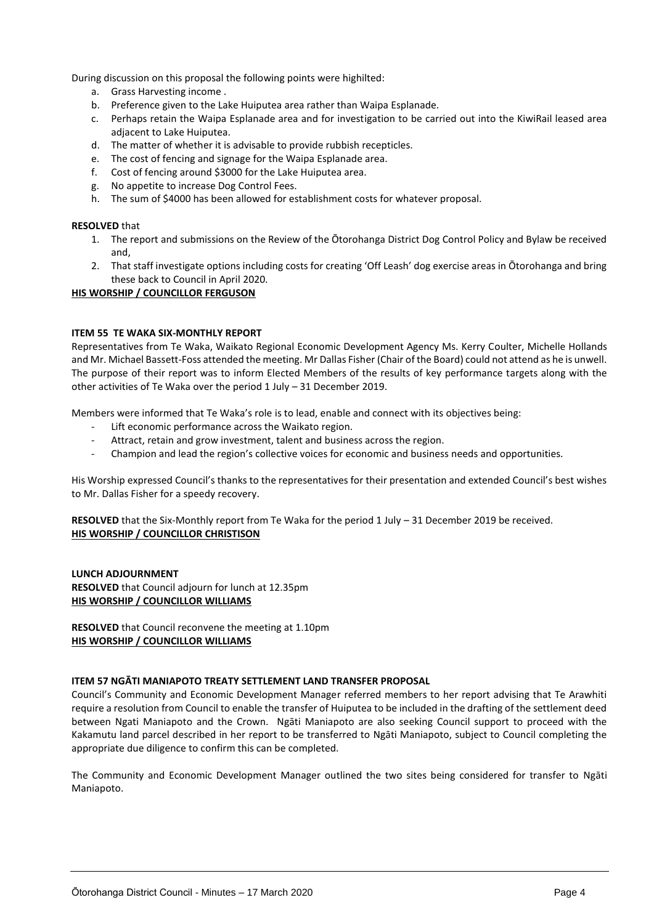During discussion on this proposal the following points were highilted:

- a. Grass Harvesting income .
- b. Preference given to the Lake Huiputea area rather than Waipa Esplanade.
- c. Perhaps retain the Waipa Esplanade area and for investigation to be carried out into the KiwiRail leased area adjacent to Lake Huiputea.
- d. The matter of whether it is advisable to provide rubbish recepticles.
- e. The cost of fencing and signage for the Waipa Esplanade area.
- f. Cost of fencing around \$3000 for the Lake Huiputea area.
- g. No appetite to increase Dog Control Fees.
- h. The sum of \$4000 has been allowed for establishment costs for whatever proposal.

#### **RESOLVED** that

- 1. The report and submissions on the Review of the Ōtorohanga District Dog Control Policy and Bylaw be received and,
- 2. That staff investigate options including costs for creating 'Off Leash' dog exercise areas in Ōtorohanga and bring these back to Council in April 2020.

#### **HIS WORSHIP / COUNCILLOR FERGUSON**

#### **ITEM 55 TE WAKA SIX-MONTHLY REPORT**

Representatives from Te Waka, Waikato Regional Economic Development Agency Ms. Kerry Coulter, Michelle Hollands and Mr. Michael Bassett-Foss attended the meeting. Mr Dallas Fisher (Chair of the Board) could not attend as he is unwell. The purpose of their report was to inform Elected Members of the results of key performance targets along with the other activities of Te Waka over the period 1 July – 31 December 2019.

Members were informed that Te Waka's role is to lead, enable and connect with its objectives being:

- Lift economic performance across the Waikato region.
- Attract, retain and grow investment, talent and business across the region.
- Champion and lead the region's collective voices for economic and business needs and opportunities.

His Worship expressed Council's thanks to the representatives for their presentation and extended Council's best wishes to Mr. Dallas Fisher for a speedy recovery.

**RESOLVED** that the Six-Monthly report from Te Waka for the period 1 July – 31 December 2019 be received. **HIS WORSHIP / COUNCILLOR CHRISTISON**

#### **LUNCH ADJOURNMENT RESOLVED** that Council adjourn for lunch at 12.35pm **HIS WORSHIP / COUNCILLOR WILLIAMS**

**RESOLVED** that Council reconvene the meeting at 1.10pm **HIS WORSHIP / COUNCILLOR WILLIAMS**

#### **ITEM 57 NGĀTI MANIAPOTO TREATY SETTLEMENT LAND TRANSFER PROPOSAL**

Council's Community and Economic Development Manager referred members to her report advising that Te Arawhiti require a resolution from Council to enable the transfer of Huiputea to be included in the drafting of the settlement deed between Ngati Maniapoto and the Crown. Ngāti Maniapoto are also seeking Council support to proceed with the Kakamutu land parcel described in her report to be transferred to Ngāti Maniapoto, subject to Council completing the appropriate due diligence to confirm this can be completed.

The Community and Economic Development Manager outlined the two sites being considered for transfer to Ngāti Maniapoto.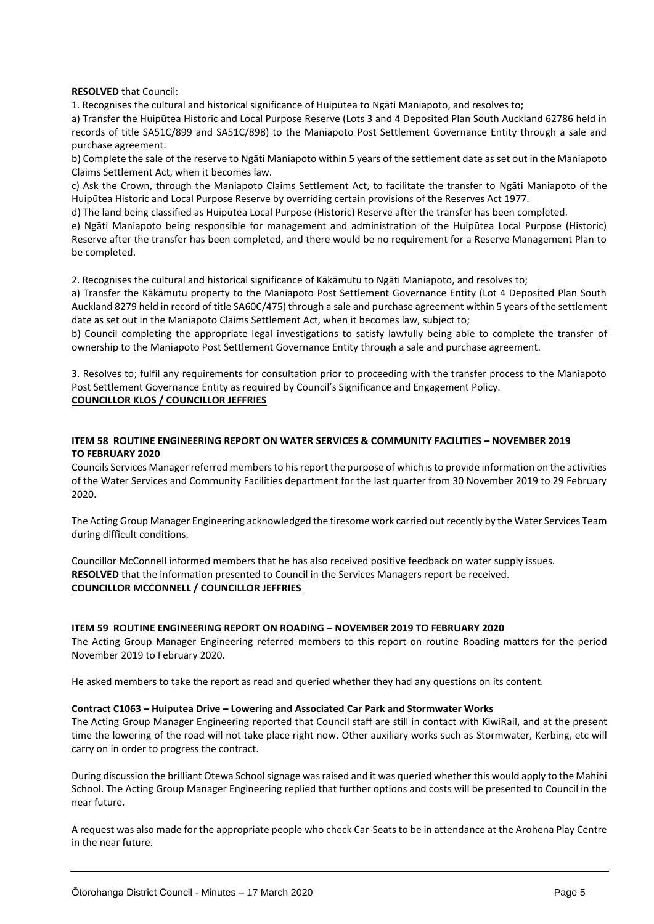**RESOLVED** that Council:

1. Recognises the cultural and historical significance of Huipūtea to Ngāti Maniapoto, and resolves to;

a) Transfer the Huipūtea Historic and Local Purpose Reserve (Lots 3 and 4 Deposited Plan South Auckland 62786 held in records of title SA51C/899 and SA51C/898) to the Maniapoto Post Settlement Governance Entity through a sale and purchase agreement.

b) Complete the sale of the reserve to Ngāti Maniapoto within 5 years of the settlement date as set out in the Maniapoto Claims Settlement Act, when it becomes law.

c) Ask the Crown, through the Maniapoto Claims Settlement Act, to facilitate the transfer to Ngāti Maniapoto of the Huipūtea Historic and Local Purpose Reserve by overriding certain provisions of the Reserves Act 1977.

d) The land being classified as Huipūtea Local Purpose (Historic) Reserve after the transfer has been completed.

e) Ngāti Maniapoto being responsible for management and administration of the Huipūtea Local Purpose (Historic) Reserve after the transfer has been completed, and there would be no requirement for a Reserve Management Plan to be completed.

2. Recognises the cultural and historical significance of Kākāmutu to Ngāti Maniapoto, and resolves to;

a) Transfer the Kākāmutu property to the Maniapoto Post Settlement Governance Entity (Lot 4 Deposited Plan South Auckland 8279 held in record of title SA60C/475) through a sale and purchase agreement within 5 years of the settlement date as set out in the Maniapoto Claims Settlement Act, when it becomes law, subject to;

b) Council completing the appropriate legal investigations to satisfy lawfully being able to complete the transfer of ownership to the Maniapoto Post Settlement Governance Entity through a sale and purchase agreement.

3. Resolves to; fulfil any requirements for consultation prior to proceeding with the transfer process to the Maniapoto Post Settlement Governance Entity as required by Council's Significance and Engagement Policy. **COUNCILLOR KLOS / COUNCILLOR JEFFRIES**

#### **ITEM 58 ROUTINE ENGINEERING REPORT ON WATER SERVICES & COMMUNITY FACILITIES – NOVEMBER 2019 TO FEBRUARY 2020**

Councils Services Manager referred members to his report the purpose of which is to provide information on the activities of the Water Services and Community Facilities department for the last quarter from 30 November 2019 to 29 February 2020.

The Acting Group Manager Engineering acknowledged the tiresome work carried out recently by the Water Services Team during difficult conditions.

Councillor McConnell informed members that he has also received positive feedback on water supply issues. **RESOLVED** that the information presented to Council in the Services Managers report be received. **COUNCILLOR MCCONNELL / COUNCILLOR JEFFRIES**

#### **ITEM 59 ROUTINE ENGINEERING REPORT ON ROADING – NOVEMBER 2019 TO FEBRUARY 2020**

The Acting Group Manager Engineering referred members to this report on routine Roading matters for the period November 2019 to February 2020.

He asked members to take the report as read and queried whether they had any questions on its content.

#### **Contract C1063 – Huiputea Drive – Lowering and Associated Car Park and Stormwater Works**

The Acting Group Manager Engineering reported that Council staff are still in contact with KiwiRail, and at the present time the lowering of the road will not take place right now. Other auxiliary works such as Stormwater, Kerbing, etc will carry on in order to progress the contract.

During discussion the brilliant Otewa School signage was raised and it was queried whether this would apply to the Mahihi School. The Acting Group Manager Engineering replied that further options and costs will be presented to Council in the near future.

A request was also made for the appropriate people who check Car-Seats to be in attendance at the Arohena Play Centre in the near future.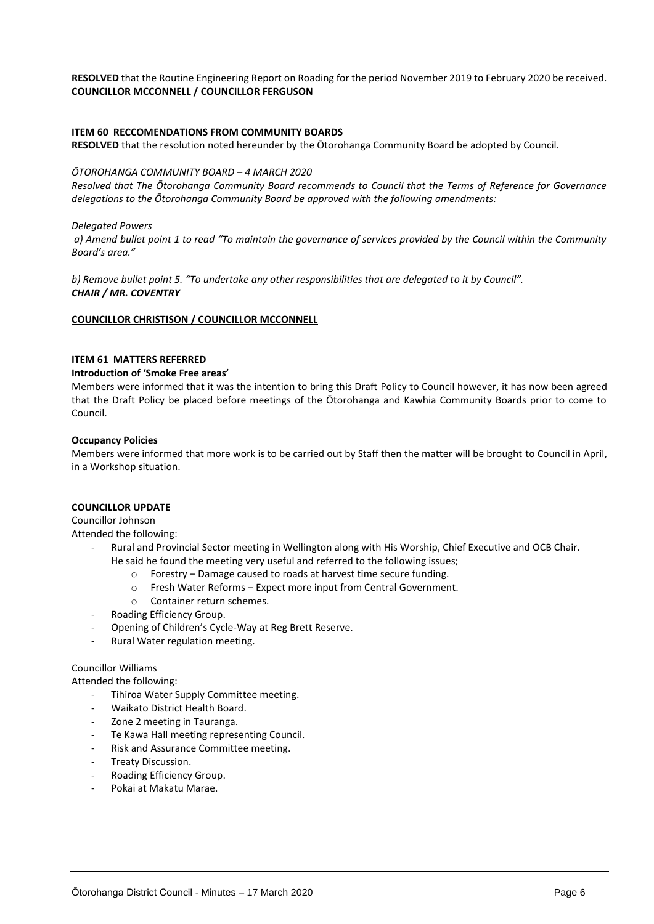#### **RESOLVED** that the Routine Engineering Report on Roading for the period November 2019 to February 2020 be received. **COUNCILLOR MCCONNELL / COUNCILLOR FERGUSON**

#### **ITEM 60 RECCOMENDATIONS FROM COMMUNITY BOARDS**

**RESOLVED** that the resolution noted hereunder by the Ōtorohanga Community Board be adopted by Council.

#### *ŌTOROHANGA COMMUNITY BOARD – 4 MARCH 2020*

*Resolved that The Ōtorohanga Community Board recommends to Council that the Terms of Reference for Governance delegations to the Ōtorohanga Community Board be approved with the following amendments:*

#### *Delegated Powers*

*a) Amend bullet point 1 to read "To maintain the governance of services provided by the Council within the Community Board's area."* 

*b) Remove bullet point 5. "To undertake any other responsibilities that are delegated to it by Council". CHAIR / MR. COVENTRY* 

#### **COUNCILLOR CHRISTISON / COUNCILLOR MCCONNELL**

#### **ITEM 61 MATTERS REFERRED**

#### **Introduction of 'Smoke Free areas'**

Members were informed that it was the intention to bring this Draft Policy to Council however, it has now been agreed that the Draft Policy be placed before meetings of the Ōtorohanga and Kawhia Community Boards prior to come to Council.

#### **Occupancy Policies**

Members were informed that more work is to be carried out by Staff then the matter will be brought to Council in April, in a Workshop situation.

#### **COUNCILLOR UPDATE**

Councillor Johnson

Attended the following:

- Rural and Provincial Sector meeting in Wellington along with His Worship, Chief Executive and OCB Chair. He said he found the meeting very useful and referred to the following issues;
	- o Forestry Damage caused to roads at harvest time secure funding.
	- o Fresh Water Reforms Expect more input from Central Government.
	- o Container return schemes.
- Roading Efficiency Group.
- Opening of Children's Cycle-Way at Reg Brett Reserve.
- Rural Water regulation meeting.

#### Councillor Williams

Attended the following:

- Tihiroa Water Supply Committee meeting.
- Waikato District Health Board.
- Zone 2 meeting in Tauranga.
- Te Kawa Hall meeting representing Council.
- Risk and Assurance Committee meeting.
- Treaty Discussion.
- Roading Efficiency Group.
- Pokai at Makatu Marae.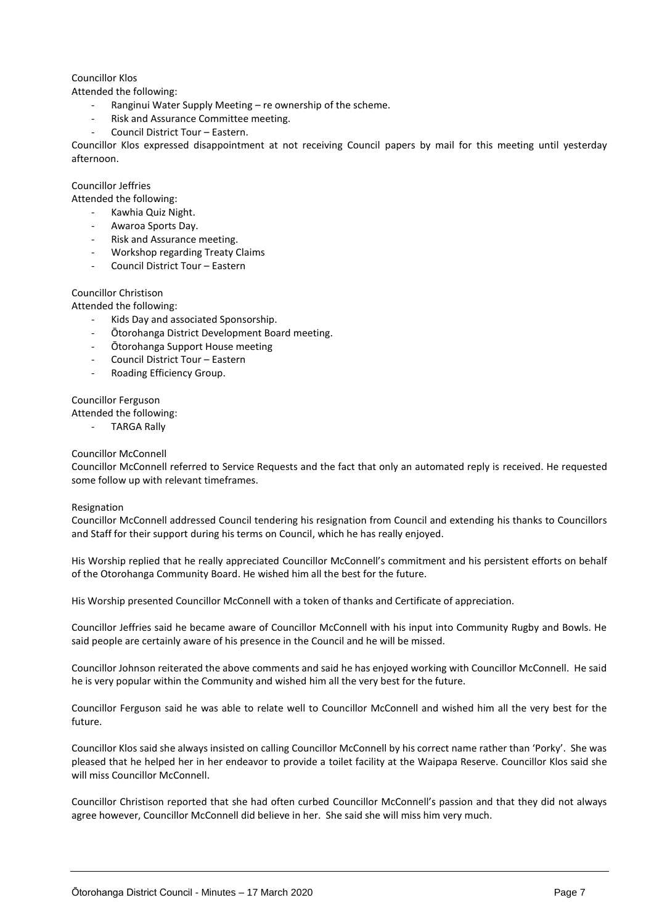#### Councillor Klos

Attended the following:

- Ranginui Water Supply Meeting re ownership of the scheme.
- Risk and Assurance Committee meeting.
- Council District Tour Eastern.

Councillor Klos expressed disappointment at not receiving Council papers by mail for this meeting until yesterday afternoon.

#### Councillor Jeffries

Attended the following:

- Kawhia Quiz Night.
- Awaroa Sports Day.
- Risk and Assurance meeting.
- Workshop regarding Treaty Claims
- Council District Tour Eastern

#### Councillor Christison

Attended the following:

- Kids Day and associated Sponsorship.
- Ōtorohanga District Development Board meeting.
- Ōtorohanga Support House meeting
- Council District Tour Eastern
- Roading Efficiency Group.

Councillor Ferguson

Attended the following:

**TARGA Rally** 

#### Councillor McConnell

Councillor McConnell referred to Service Requests and the fact that only an automated reply is received. He requested some follow up with relevant timeframes.

#### Resignation

Councillor McConnell addressed Council tendering his resignation from Council and extending his thanks to Councillors and Staff for their support during his terms on Council, which he has really enjoyed.

His Worship replied that he really appreciated Councillor McConnell's commitment and his persistent efforts on behalf of the Otorohanga Community Board. He wished him all the best for the future.

His Worship presented Councillor McConnell with a token of thanks and Certificate of appreciation.

Councillor Jeffries said he became aware of Councillor McConnell with his input into Community Rugby and Bowls. He said people are certainly aware of his presence in the Council and he will be missed.

Councillor Johnson reiterated the above comments and said he has enjoyed working with Councillor McConnell. He said he is very popular within the Community and wished him all the very best for the future.

Councillor Ferguson said he was able to relate well to Councillor McConnell and wished him all the very best for the future.

Councillor Klos said she always insisted on calling Councillor McConnell by his correct name rather than 'Porky'. She was pleased that he helped her in her endeavor to provide a toilet facility at the Waipapa Reserve. Councillor Klos said she will miss Councillor McConnell.

Councillor Christison reported that she had often curbed Councillor McConnell's passion and that they did not always agree however, Councillor McConnell did believe in her. She said she will miss him very much.